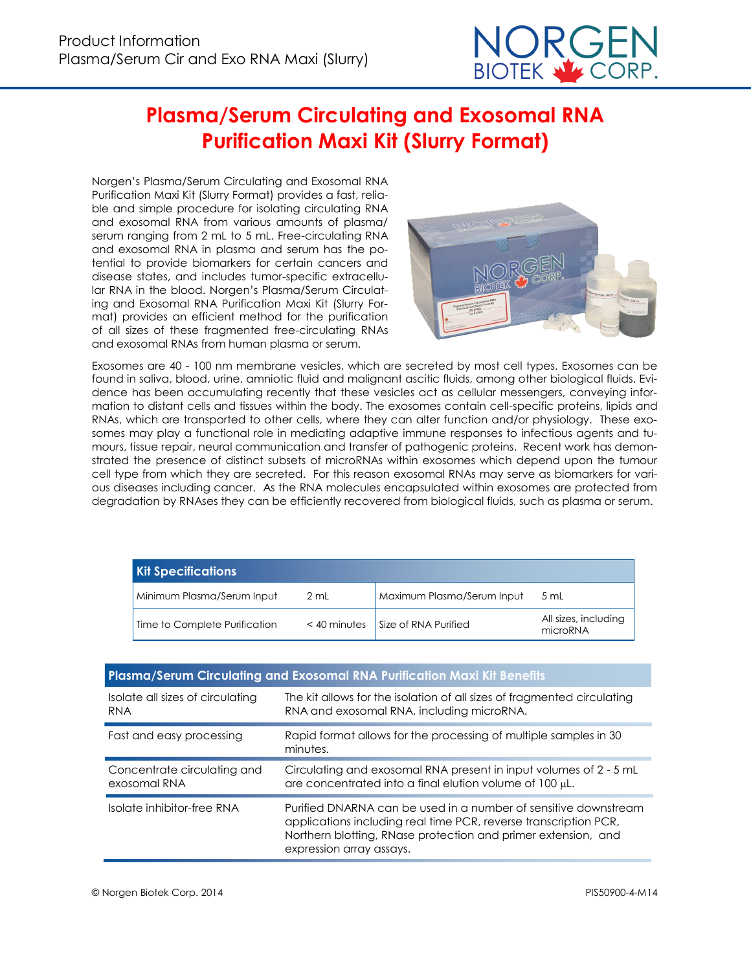

# **Plasma/Serum Circulating and Exosomal RNA Purification Maxi Kit (Slurry Format)**

Norgen's Plasma/Serum Circulating and Exosomal RNA Purification Maxi Kit (Slurry Format) provides a fast, reliable and simple procedure for isolating circulating RNA and exosomal RNA from various amounts of plasma/ serum ranging from 2 mL to 5 mL. Free-circulating RNA and exosomal RNA in plasma and serum has the potential to provide biomarkers for certain cancers and disease states, and includes tumor-specific extracellular RNA in the blood. Norgen's Plasma/Serum Circulating and Exosomal RNA Purification Maxi Kit (Slurry Format) provides an efficient method for the purification of all sizes of these fragmented free-circulating RNAs and exosomal RNAs from human plasma or serum.



Exosomes are 40 - 100 nm membrane vesicles, which are secreted by most cell types. Exosomes can be found in saliva, blood, urine, amniotic fluid and malignant ascitic fluids, among other biological fluids. Evidence has been accumulating recently that these vesicles act as cellular messengers, conveying information to distant cells and tissues within the body. The exosomes contain cell-specific proteins, lipids and RNAs, which are transported to other cells, where they can alter function and/or physiology. These exosomes may play a functional role in mediating adaptive immune responses to infectious agents and tumours, tissue repair, neural communication and transfer of pathogenic proteins. Recent work has demonstrated the presence of distinct subsets of microRNAs within exosomes which depend upon the tumour cell type from which they are secreted. For this reason exosomal RNAs may serve as biomarkers for various diseases including cancer. As the RNA molecules encapsulated within exosomes are protected from degradation by RNAses they can be efficiently recovered from biological fluids, such as plasma or serum.

| <b>Kit Specifications</b>     |                |                            |                                  |  |  |
|-------------------------------|----------------|----------------------------|----------------------------------|--|--|
| Minimum Plasma/Serum Input    | 2 mL           | Maximum Plasma/Serum Input | 5 mL                             |  |  |
| Time to Complete Purification | $<$ 40 minutes | Size of RNA Purified       | All sizes, including<br>microRNA |  |  |

### **Plasma/Serum Circulating and Exosomal RNA Purification Maxi Kit Benefits**

| Isolate all sizes of circulating | The kit allows for the isolation of all sizes of fragmented circulating                                                                                                                                                          |
|----------------------------------|----------------------------------------------------------------------------------------------------------------------------------------------------------------------------------------------------------------------------------|
| RNA                              | RNA and exosomal RNA, including microRNA.                                                                                                                                                                                        |
| Fast and easy processing         | Rapid format allows for the processing of multiple samples in 30<br>minutes.                                                                                                                                                     |
| Concentrate circulating and      | Circulating and exosomal RNA present in input volumes of 2 - 5 mL                                                                                                                                                                |
| exosomal RNA                     | are concentrated into a final elution volume of 100 µL.                                                                                                                                                                          |
| Isolate inhibitor-free RNA       | Purified DNARNA can be used in a number of sensitive downstream<br>applications including real time PCR, reverse transcription PCR,<br>Northern blotting, RNase protection and primer extension, and<br>expression array assays. |